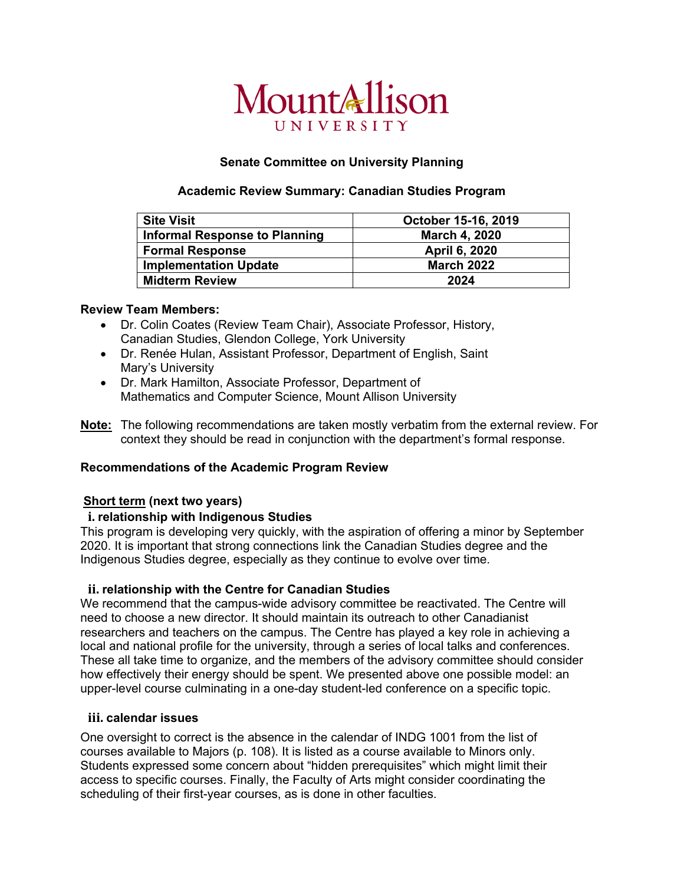# MountAllison UNIVERSITY

## **Senate Committee on University Planning**

## **Academic Review Summary: Canadian Studies Program**

| <b>Site Visit</b>                    | October 15-16, 2019  |
|--------------------------------------|----------------------|
| <b>Informal Response to Planning</b> | <b>March 4, 2020</b> |
| <b>Formal Response</b>               | April 6, 2020        |
| <b>Implementation Update</b>         | <b>March 2022</b>    |
| <b>Midterm Review</b>                | 2024                 |

## **Review Team Members:**

- Dr. Colin Coates (Review Team Chair), Associate Professor, History, Canadian Studies, Glendon College, York University
- Dr. Renée Hulan, Assistant Professor, Department of English, Saint Mary's University
- Dr. Mark Hamilton, Associate Professor, Department of Mathematics and Computer Science, Mount Allison University
- **Note:** The following recommendations are taken mostly verbatim from the external review. For context they should be read in conjunction with the department's formal response.

# **Recommendations of the Academic Program Review**

## **Short term (next two years)**

## **i. relationship with Indigenous Studies**

This program is developing very quickly, with the aspiration of offering a minor by September 2020. It is important that strong connections link the Canadian Studies degree and the Indigenous Studies degree, especially as they continue to evolve over time.

## **ii. relationship with the Centre for Canadian Studies**

We recommend that the campus-wide advisory committee be reactivated. The Centre will need to choose a new director. It should maintain its outreach to other Canadianist researchers and teachers on the campus. The Centre has played a key role in achieving a local and national profile for the university, through a series of local talks and conferences. These all take time to organize, and the members of the advisory committee should consider how effectively their energy should be spent. We presented above one possible model: an upper-level course culminating in a one-day student-led conference on a specific topic.

## **iii. calendar issues**

One oversight to correct is the absence in the calendar of INDG 1001 from the list of courses available to Majors (p. 108). It is listed as a course available to Minors only. Students expressed some concern about "hidden prerequisites" which might limit their access to specific courses. Finally, the Faculty of Arts might consider coordinating the scheduling of their first-year courses, as is done in other faculties.